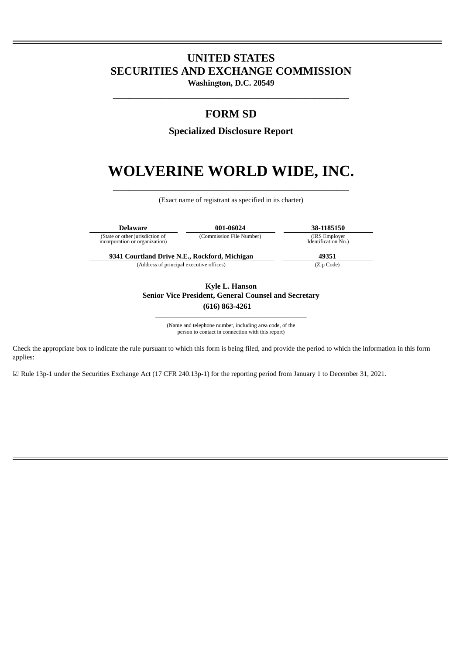## **UNITED STATES SECURITIES AND EXCHANGE COMMISSION**

**Washington, D.C. 20549**  $\_$  , and the set of the set of the set of the set of the set of the set of the set of the set of the set of the set of the set of the set of the set of the set of the set of the set of the set of the set of the set of th

## **FORM SD**

**Specialized Disclosure Report** \_\_\_\_\_\_\_\_\_\_\_\_\_\_\_\_\_\_\_\_\_\_\_\_\_\_\_\_\_\_\_\_\_\_\_\_\_\_\_\_\_\_\_\_\_\_\_\_\_\_\_\_\_\_\_\_\_\_\_\_\_\_\_\_\_\_\_\_\_\_\_\_\_\_\_

# **WOLVERINE WORLD WIDE, INC.**

 $\_$  , and the set of the set of the set of the set of the set of the set of the set of the set of the set of the set of the set of the set of the set of the set of the set of the set of the set of the set of the set of th (Exact name of registrant as specified in its charter)

**Delaware 001-06024 38-1185150**

(State or other jurisdiction of incorporation or organization)

(Commission File Number)

**9341 Courtland Drive N.E., Rockford, Michigan 49351**

(Address of principal executive offices) (Zip Code)

(IRS Employer<br>Identification No.)

**Kyle L. Hanson Senior Vice President, General Counsel and Secretary (616) 863-4261**

\_\_\_\_\_\_\_\_\_\_\_\_\_\_\_\_\_\_\_\_\_\_\_\_\_\_\_\_\_\_\_\_\_\_\_\_\_\_\_\_\_\_\_\_\_\_\_\_ (Name and telephone number, including area code, of the person to contact in connection with this report)

Check the appropriate box to indicate the rule pursuant to which this form is being filed, and provide the period to which the information in this form applies:

☑ Rule 13p-1 under the Securities Exchange Act (17 CFR 240.13p-1) for the reporting period from January 1 to December 31, 2021.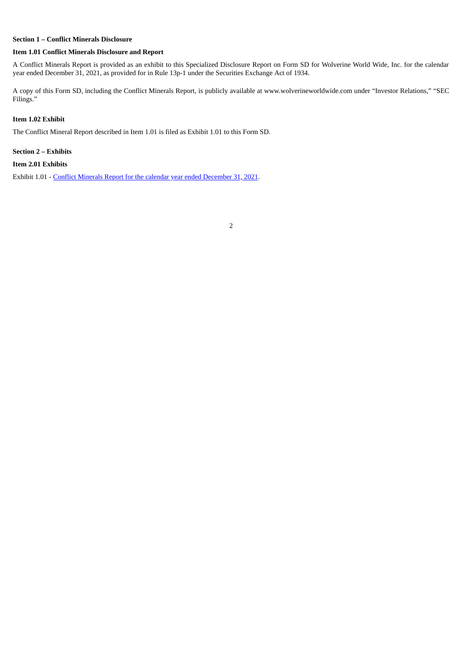## **Section 1 – Conflict Minerals Disclosure**

#### **Item 1.01 Conflict Minerals Disclosure and Report**

A Conflict Minerals Report is provided as an exhibit to this Specialized Disclosure Report on Form SD for Wolverine World Wide, Inc. for the calendar year ended December 31, 2021, as provided for in Rule 13p-1 under the Securities Exchange Act of 1934.

A copy of this Form SD, including the Conflict Minerals Report, is publicly available at www.wolverineworldwide.com under "Investor Relations," "SEC Filings."

### **Item 1.02 Exhibit**

The Conflict Mineral Report described in Item 1.01 is filed as Exhibit 1.01 to this Form SD.

## **Section 2 – Exhibits**

### **Item 2.01 Exhibits**

Exhibit 1.01 - Conflict Minerals Report for the calendar year ended [December](#page-3-0) 31, 2021.

## 2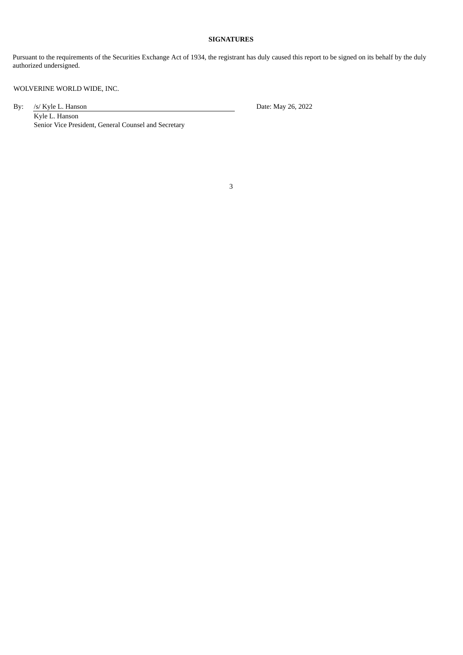## **SIGNATURES**

Pursuant to the requirements of the Securities Exchange Act of 1934, the registrant has duly caused this report to be signed on its behalf by the duly authorized undersigned.

## WOLVERINE WORLD WIDE, INC.

By: /s/ Kyle L. Hanson Date: May 26, 2022

Kyle L. Hanson Senior Vice President, General Counsel and Secretary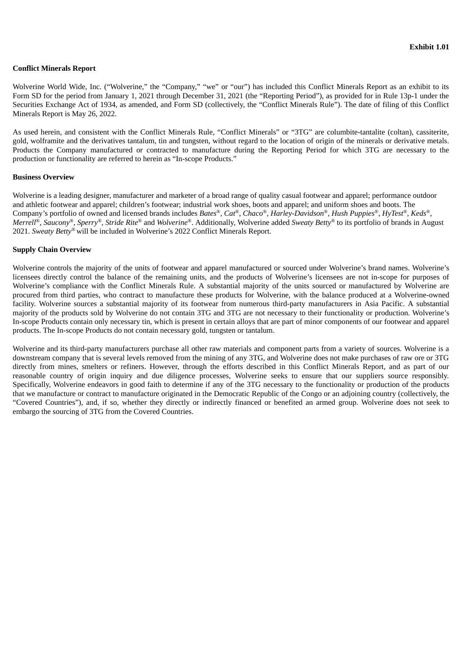## <span id="page-3-0"></span>**Conflict Minerals Report**

Wolverine World Wide, Inc. ("Wolverine," the "Company," "we" or "our") has included this Conflict Minerals Report as an exhibit to its Form SD for the period from January 1, 2021 through December 31, 2021 (the "Reporting Period"), as provided for in Rule 13p-1 under the Securities Exchange Act of 1934, as amended, and Form SD (collectively, the "Conflict Minerals Rule"). The date of filing of this Conflict Minerals Report is May 26, 2022.

As used herein, and consistent with the Conflict Minerals Rule, "Conflict Minerals" or "3TG" are columbite-tantalite (coltan), cassiterite, gold, wolframite and the derivatives tantalum, tin and tungsten, without regard to the location of origin of the minerals or derivative metals. Products the Company manufactured or contracted to manufacture during the Reporting Period for which 3TG are necessary to the production or functionality are referred to herein as "In-scope Products."

### **Business Overview**

Wolverine is a leading designer, manufacturer and marketer of a broad range of quality casual footwear and apparel; performance outdoor and athletic footwear and apparel; children's footwear; industrial work shoes, boots and apparel; and uniform shoes and boots. The Company's portfolio of owned and licensed brands includes *Bates*®, *Cat*®, *Chaco*®, *Harley-Davidson*®, *Hush Puppies*®, *HyTest*®, *Keds*®, *Merrell* , *Saucony , Sperry , Stride Rite* and *Wolverine* . Additionally, Wolverine added *Sweaty Betty* to its portfolio of brands in August 2021. *Sweaty Betty* will be included in Wolverine's 2022 Conflict Minerals Report. ® *® ®* ® ® ® ®

#### **Supply Chain Overview**

Wolverine controls the majority of the units of footwear and apparel manufactured or sourced under Wolverine's brand names. Wolverine's licensees directly control the balance of the remaining units, and the products of Wolverine's licensees are not in-scope for purposes of Wolverine's compliance with the Conflict Minerals Rule. A substantial majority of the units sourced or manufactured by Wolverine are procured from third parties, who contract to manufacture these products for Wolverine, with the balance produced at a Wolverine-owned facility. Wolverine sources a substantial majority of its footwear from numerous third-party manufacturers in Asia Pacific. A substantial majority of the products sold by Wolverine do not contain 3TG and 3TG are not necessary to their functionality or production. Wolverine's In-scope Products contain only necessary tin, which is present in certain alloys that are part of minor components of our footwear and apparel products. The In-scope Products do not contain necessary gold, tungsten or tantalum.

Wolverine and its third-party manufacturers purchase all other raw materials and component parts from a variety of sources. Wolverine is a downstream company that is several levels removed from the mining of any 3TG, and Wolverine does not make purchases of raw ore or 3TG directly from mines, smelters or refiners. However, through the efforts described in this Conflict Minerals Report, and as part of our reasonable country of origin inquiry and due diligence processes, Wolverine seeks to ensure that our suppliers source responsibly. Specifically, Wolverine endeavors in good faith to determine if any of the 3TG necessary to the functionality or production of the products that we manufacture or contract to manufacture originated in the Democratic Republic of the Congo or an adjoining country (collectively, the "Covered Countries"), and, if so, whether they directly or indirectly financed or benefited an armed group. Wolverine does not seek to embargo the sourcing of 3TG from the Covered Countries.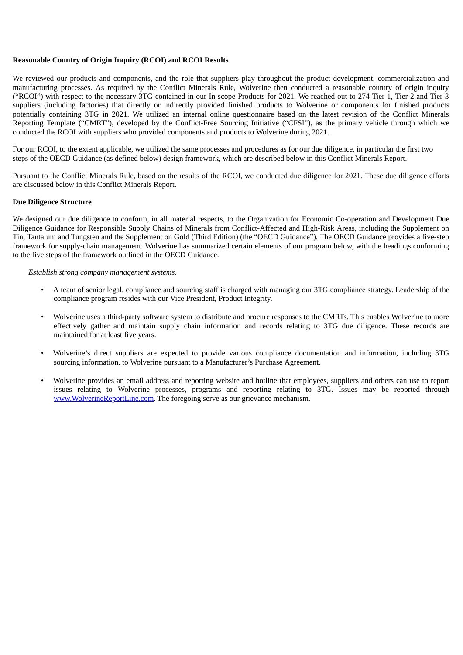## **Reasonable Country of Origin Inquiry (RCOI) and RCOI Results**

We reviewed our products and components, and the role that suppliers play throughout the product development, commercialization and manufacturing processes. As required by the Conflict Minerals Rule, Wolverine then conducted a reasonable country of origin inquiry ("RCOI") with respect to the necessary 3TG contained in our In-scope Products for 2021. We reached out to 274 Tier 1, Tier 2 and Tier 3 suppliers (including factories) that directly or indirectly provided finished products to Wolverine or components for finished products potentially containing 3TG in 2021. We utilized an internal online questionnaire based on the latest revision of the Conflict Minerals Reporting Template ("CMRT"), developed by the Conflict-Free Sourcing Initiative ("CFSI"), as the primary vehicle through which we conducted the RCOI with suppliers who provided components and products to Wolverine during 2021.

For our RCOI, to the extent applicable, we utilized the same processes and procedures as for our due diligence, in particular the first two steps of the OECD Guidance (as defined below) design framework, which are described below in this Conflict Minerals Report.

Pursuant to the Conflict Minerals Rule, based on the results of the RCOI, we conducted due diligence for 2021. These due diligence efforts are discussed below in this Conflict Minerals Report.

### **Due Diligence Structure**

We designed our due diligence to conform, in all material respects, to the Organization for Economic Co-operation and Development Due Diligence Guidance for Responsible Supply Chains of Minerals from Conflict-Affected and High-Risk Areas, including the Supplement on Tin, Tantalum and Tungsten and the Supplement on Gold (Third Edition) (the "OECD Guidance"). The OECD Guidance provides a five-step framework for supply-chain management. Wolverine has summarized certain elements of our program below, with the headings conforming to the five steps of the framework outlined in the OECD Guidance.

*Establish strong company management systems.*

- A team of senior legal, compliance and sourcing staff is charged with managing our 3TG compliance strategy. Leadership of the compliance program resides with our Vice President, Product Integrity.
- Wolverine uses a third-party software system to distribute and procure responses to the CMRTs. This enables Wolverine to more effectively gather and maintain supply chain information and records relating to 3TG due diligence. These records are maintained for at least five years.
- Wolverine's direct suppliers are expected to provide various compliance documentation and information, including 3TG sourcing information, to Wolverine pursuant to a Manufacturer's Purchase Agreement.
- Wolverine provides an email address and reporting website and hotline that employees, suppliers and others can use to report issues relating to Wolverine processes, programs and reporting relating to 3TG. Issues may be reported through www.WolverineReportLine.com. The foregoing serve as our grievance mechanism.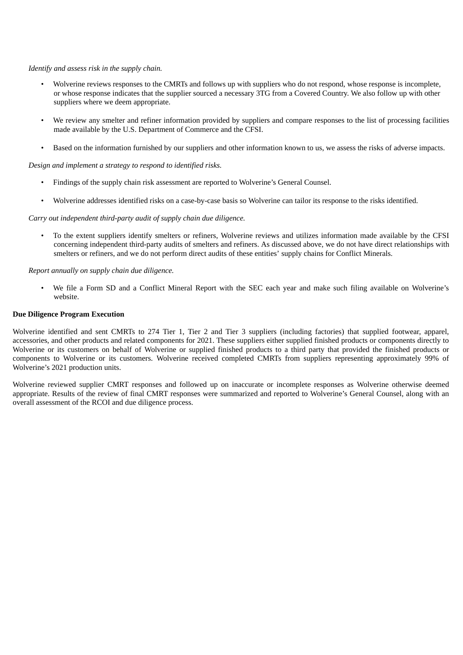*Identify and assess risk in the supply chain.*

- Wolverine reviews responses to the CMRTs and follows up with suppliers who do not respond, whose response is incomplete, or whose response indicates that the supplier sourced a necessary 3TG from a Covered Country. We also follow up with other suppliers where we deem appropriate.
- We review any smelter and refiner information provided by suppliers and compare responses to the list of processing facilities made available by the U.S. Department of Commerce and the CFSI.
- Based on the information furnished by our suppliers and other information known to us, we assess the risks of adverse impacts.

*Design and implement a strategy to respond to identified risks.*

- Findings of the supply chain risk assessment are reported to Wolverine's General Counsel.
- Wolverine addresses identified risks on a case-by-case basis so Wolverine can tailor its response to the risks identified.

*Carry out independent third-party audit of supply chain due diligence.*

• To the extent suppliers identify smelters or refiners, Wolverine reviews and utilizes information made available by the CFSI concerning independent third-party audits of smelters and refiners. As discussed above, we do not have direct relationships with smelters or refiners, and we do not perform direct audits of these entities' supply chains for Conflict Minerals.

## *Report annually on supply chain due diligence.*

• We file a Form SD and a Conflict Mineral Report with the SEC each year and make such filing available on Wolverine's website.

#### **Due Diligence Program Execution**

Wolverine identified and sent CMRTs to 274 Tier 1, Tier 2 and Tier 3 suppliers (including factories) that supplied footwear, apparel, accessories, and other products and related components for 2021. These suppliers either supplied finished products or components directly to Wolverine or its customers on behalf of Wolverine or supplied finished products to a third party that provided the finished products or components to Wolverine or its customers. Wolverine received completed CMRTs from suppliers representing approximately 99% of Wolverine's 2021 production units.

Wolverine reviewed supplier CMRT responses and followed up on inaccurate or incomplete responses as Wolverine otherwise deemed appropriate. Results of the review of final CMRT responses were summarized and reported to Wolverine's General Counsel, along with an overall assessment of the RCOI and due diligence process.